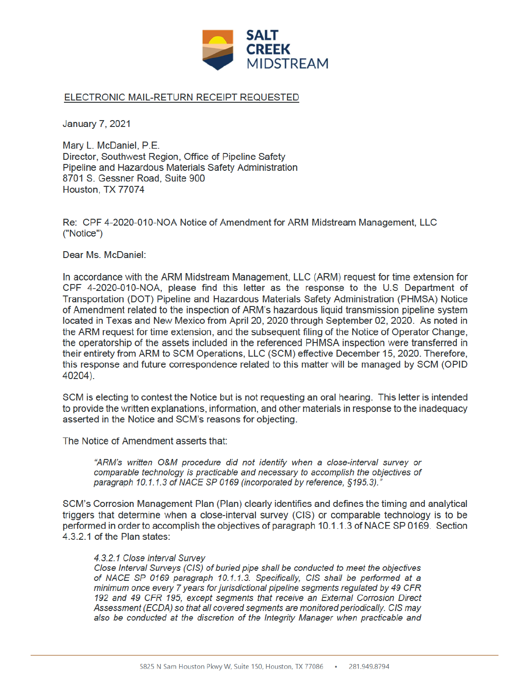

## ELECTRONIC MAIL-RETURN RECEIPT REQUESTED

**January 7, 2021** 

Mary L. McDaniel, P.E. Director, Southwest Region, Office of Pipeline Safety Pipeline and Hazardous Materials Safety Administration 8701 S. Gessner Road, Suite 900 Houston, TX 77074

Re: CPF 4-2020-010-NOA Notice of Amendment for ARM Midstream Management, LLC ("Notice")

Dear Ms. McDaniel:

In accordance with the ARM Midstream Management, LLC (ARM) request for time extension for CPF 4-2020-010-NOA, please find this letter as the response to the U.S Department of Transportation (DOT) Pipeline and Hazardous Materials Safety Administration (PHMSA) Notice of Amendment related to the inspection of ARM's hazardous liquid transmission pipeline system located in Texas and New Mexico from April 20, 2020 through September 02, 2020. As noted in the ARM request for time extension, and the subsequent filing of the Notice of Operator Change. the operatorship of the assets included in the referenced PHMSA inspection were transferred in their entirety from ARM to SCM Operations, LLC (SCM) effective December 15, 2020. Therefore, this response and future correspondence related to this matter will be managed by SCM (OPID 40204).

SCM is electing to contest the Notice but is not requesting an oral hearing. This letter is intended to provide the written explanations, information, and other materials in response to the inadequacy asserted in the Notice and SCM's reasons for objecting.

The Notice of Amendment asserts that:

"ARM's written O&M procedure did not identify when a close-interval survey or comparable technology is practicable and necessary to accomplish the objectives of paragraph 10.1.1.3 of NACE SP 0169 (incorporated by reference, §195.3)."

SCM's Corrosion Management Plan (Plan) clearly identifies and defines the timing and analytical triggers that determine when a close-interval survey (CIS) or comparable technology is to be performed in order to accomplish the objectives of paragraph 10.1.1.3 of NACE SP 0169. Section 4.3.2.1 of the Plan states:

## 4.3.2.1 Close Interval Survey

Close Interval Surveys (CIS) of buried pipe shall be conducted to meet the objectives of NACE SP 0169 paragraph 10.1.1.3. Specifically, CIS shall be performed at a minimum once every 7 years for jurisdictional pipeline segments regulated by 49 CFR 192 and 49 CFR 195, except segments that receive an External Corrosion Direct Assessment (ECDA) so that all covered segments are monitored periodically. CIS may also be conducted at the discretion of the Integrity Manager when practicable and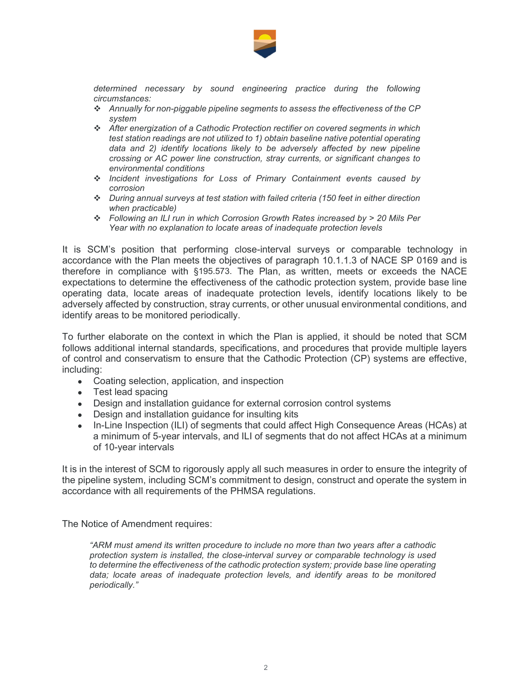

 determined necessary by sound engineering practice during the following circumstances:

- Annually for non-piggable pipeline segments to assess the effectiveness of the CP system
- After energization of a Cathodic Protection rectifier on covered segments in which test station readings are not utilized to 1) obtain baseline native potential operating data and 2) identify locations likely to be adversely affected by new pipeline crossing or AC power line construction, stray currents, or significant changes to environmental conditions
- Incident investigations for Loss of Primary Containment events caused by corrosion
- During annual surveys at test station with failed criteria (150 feet in either direction when practicable)
- Following an ILI run in which Corrosion Growth Rates increased by > 20 Mils Per Year with no explanation to locate areas of inadequate protection levels

 It is SCM's position that performing close-interval surveys or comparable technology in accordance with the Plan meets the objectives of paragraph 10.1.1.3 of NACE SP 0169 and is therefore in compliance with §195.573. The Plan, as written, meets or exceeds the NACE expectations to determine the effectiveness of the cathodic protection system, provide base line operating data, locate areas of inadequate protection levels, identify locations likely to be adversely affected by construction, stray currents, or other unusual environmental conditions, and identify areas to be monitored periodically.

 To further elaborate on the context in which the Plan is applied, it should be noted that SCM follows additional internal standards, specifications, and procedures that provide multiple layers of control and conservatism to ensure that the Cathodic Protection (CP) systems are effective, including:

- Coating selection, application, and inspection
- Test lead spacing
- Design and installation guidance for external corrosion control systems
- Design and installation guidance for insulting kits
- In-Line Inspection (ILI) of segments that could affect High Consequence Areas (HCAs) at a minimum of 5-year intervals, and ILI of segments that do not affect HCAs at a minimum of 10-year intervals

 It is in the interest of SCM to rigorously apply all such measures in order to ensure the integrity of the pipeline system, including SCM's commitment to design, construct and operate the system in accordance with all requirements of the PHMSA regulations.

The Notice of Amendment requires:

 "ARM must amend its written procedure to include no more than two years after a cathodic protection system is installed, the close-interval survey or comparable technology is used to determine the effectiveness of the cathodic protection system; provide base line operating data; locate areas of inadequate protection levels, and identify areas to be monitored periodically."